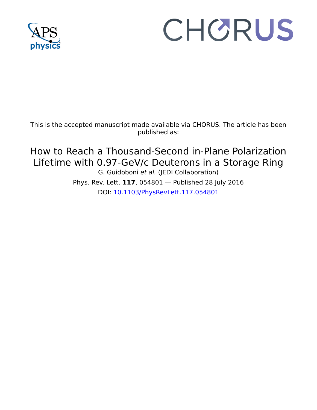

## CHORUS

This is the accepted manuscript made available via CHORUS. The article has been published as:

How to Reach a Thousand-Second in-Plane Polarization Lifetime with 0.97-GeV/c Deuterons in a Storage Ring G. Guidoboni et al. (JEDI Collaboration)

Phys. Rev. Lett. **117**, 054801 — Published 28 July 2016 DOI: [10.1103/PhysRevLett.117.054801](http://dx.doi.org/10.1103/PhysRevLett.117.054801)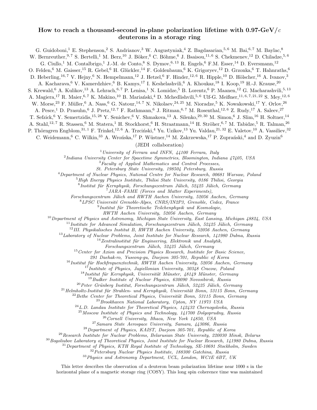## How to reach a thousand-second in-plane polarization lifetime with  $0.97$ -GeV/c deuterons in a storage ring

G. Guidoboni,<sup>1</sup> E. Stephenson,<sup>2</sup> S. Andrianov,<sup>3</sup> W. Augustyniak,<sup>4</sup> Z. Bagdasarian,<sup>5,6</sup> M. Bai,<sup>6,7</sup> M. Baylac,<sup>8</sup>

W. Bernreuther,  $9, 7$  S. Bertelli,  $1$  M. Berz,  $10$  J. Böker,  $6$  C. Böhme,  $6$  J. Bsaisou,  $11, 6$  S. Chekmenev,  $12$  D. Chiladze,  $5, 6$ 

G. Ciullo,<sup>1</sup> M. Contalbrigo,<sup>1</sup> J.-M. de Conto,<sup>8</sup> S. Dymov,<sup>6, 13</sup> R. Engels,<sup>6</sup> F.M. Esser,<sup>14</sup> D. Eversmann,<sup>12</sup>

O. Felden,<sup>6</sup> M. Gaisser,<sup>15</sup> R. Gebel,<sup>6</sup> H. Glückler,<sup>14</sup> F. Goldenbaum,<sup>6</sup> K. Grigoryev,<sup>12</sup> D. Grzonka,<sup>6</sup> T. Hahnraths,<sup>6</sup>

D. Heberling,<sup>16,7</sup> V. Hejny,<sup>6</sup> N. Hempelmann,<sup>12</sup> J. Hetzel,<sup>6</sup> F. Hinder,<sup>12,6</sup> R. Hipple,<sup>10</sup> D. Hölscher,<sup>16</sup> A. Ivanov,<sup>3</sup>

A. Kacharava,<sup>6</sup> V. Kamerdzhiev, <sup>6</sup> B. Kamys,<sup>17</sup> I. Keshelashvili, <sup>6</sup> A. Khoukaz, <sup>18</sup> I. Koop, <sup>19</sup> H.-J. Krause, <sup>20</sup>

S. Krewald,<sup>6</sup> A. Kulikov,<sup>13</sup> A. Lehrach,<sup>6,7</sup> P. Lenisa,<sup>1</sup> N. Lomidze,<sup>5</sup> B. Lorentz,<sup>6</sup> P. Maanen,<sup>12</sup> G. Macharashvili,<sup>5,13</sup>

A. Magiera,<sup>17</sup> R. Maier,<sup>6,7</sup> K. Makino,<sup>10</sup> B. Mariański,<sup>4</sup> D. Mchedlishvili,<sup>5,6</sup> Ulf-G. Meißner,<sup>11,6,7,21,22</sup> S. Mey,<sup>12,6</sup>

W. Morse,<sup>23</sup> F. Müller,<sup>6</sup> A. Nass,<sup>6</sup> G. Natour,<sup>14,7</sup> N. Nikolaev,<sup>24, 25</sup> M. Nioradze,<sup>5</sup> K. Nowakowski,<sup>17</sup> Y. Orlov,<sup>26</sup>

A. Pesce,<sup>1</sup> D. Prasuhn,<sup>6</sup> J. Pretz,<sup>12,7</sup> F. Rathmann,<sup>6</sup> J. Ritman,<sup>6,7</sup> M. Rosenthal,<sup>12,6</sup> Z. Rudy,<sup>17</sup> A. Saleev,<sup>27</sup>

T. Sefzick,<sup>6</sup> Y. Semertzidis,<sup>15, 28</sup> Y. Senichev,<sup>6</sup> V. Shmakova,<sup>13</sup> A. Silenko,<sup>29, 30</sup> M. Simon,<sup>6</sup> J. Slim,<sup>16</sup> H. Soltner,<sup>14</sup>

A. Stahl,<sup>12, 7</sup> R. Stassen,<sup>6</sup> M. Statera,<sup>1</sup> H. Stockhorst,<sup>6</sup> H. Straatmann,<sup>14</sup> H. Ströher,<sup>6,7</sup> M. Tabidze,<sup>5</sup> R. Talman,<sup>26</sup>

P. Thörngren Engblom,<sup>31, 1</sup> F. Trinkel,<sup>12, 6</sup> A. Trzciński,<sup>4</sup> Yu. Uzikov,<sup>13</sup> Yu. Valdau,<sup>21, 32</sup> E. Valetov,<sup>10</sup> A. Vassiliev,<sup>32</sup>

C. Weidemann, <sup>6</sup> C. Wilkin, <sup>33</sup> A. Wrońska, <sup>17</sup> P. Wüstner, <sup>14</sup> M. Zakrzewska, <sup>17</sup> P. Zuprański, <sup>4</sup> and D. Zyuzin<sup>6</sup>

(JEDI collaboration)

<sup>1</sup> University of Ferrara and INFN,  $44100$  Ferrara, Italy

2 Indiana University Center for Spacetime Symmetries, Bloomington, Indiana 47405, USA

<sup>3</sup>Faculty of Applied Mathematics and Control Processes,

St. Petersburg State University, 198504 Petersburg, Russia

<sup>4</sup>Department of Nuclear Physics, National Centre for Nuclear Research, 00681 Warsaw, Poland

 $5$ High Energy Physics Institute, Tbilisi State University, 0186 Tbilisi, Georgia

 $^6$ Institut für Kernphysik, Forschungszentrum Jülich, 52425 Jülich, Germany

7 JARA–FAME (Forces and Matter Experiments),

Forschungszentrum Jülich and RWTH Aachen University, 52056 Aachen, Germany

 $8$ LPSC Université Grenoble-Alpes, CNRS/IN2P3, Grenoble, Cedex, France

<sup>9</sup> Institut für Theoretische Teilchenphysik und Kosmologie,

RWTH Aachen University, 52056 Aachen, Germany

 $10$  Department of Physics and Astronomy, Michigan State University, East Lansing, Michigan 48824, USA

 $11$ Institute for Advanced Simulation, Forschungszentrum Jülich, 52425 Jülich, Germany

<sup>12</sup>III. Physikalisches Institut B, RWTH Aachen University, 52056 Aachen, Germany

<sup>13</sup>Laboratory of Nuclear Problems, Joint Institute for Nuclear Research, 141980 Dubna, Russia

 $14$ Zentralinstitut für Engineering, Elektronik und Analytik,

Forschungszentrum Jülich, 52425 Jülich, Germany

 $15$  Center for Axion and Precision Physics Research, Institute for Basic Science,

291 Daehak-ro, Yuseong-gu, Daejeon 305-701, Republic of Korea

 $16$ Institut für Hochfrequenztechnik, RWTH Aachen University, 52056 Aachen, Germany

 $17$ Institute of Physics, Jagiellonian University, 30348 Cracow, Poland

 $18$ Institut für Kernphysik, Universität Münster, 48149 Münster, Germany

<sup>19</sup>Budker Institute of Nuclear Physics, 630090 Novosibirsk, Russia

 $^{20}$ Peter Grünberg Institut, Forschungszentrum Jülich, 52425 Jülich, Germany

 $^{21}$ Helmholtz-Institut für Strahlen- und Kernphysik, Universität Bonn, 53115 Bonn, Germany

 $22$ Bethe Center for Theoretical Physics, Universität Bonn, 53115 Bonn, Germany

 $^{23}$ Brookhaven National Laboratory, Upton, NY 11973 USA

 $^{24}$  L.D. Landau Institute for Theoretical Physics, 142432 Chernogolovka, Russia

<sup>25</sup>Moscow Institute of Physics and Technology, 141700 Dolgoprudny, Russia

 $^{26}$  Cornell University, Ithaca, New York 14850, USA

<sup>27</sup>Samara State Aerospace University, Samara, 443086, Russia

 $^{28}$ Department of Physics, KAIST, Daejeon 305-701, Republic of Korea

<sup>29</sup>Research Institute for Nuclear Problems, Belarusian State University, 220030 Minsk, Belarus

<sup>30</sup>Bogoliubov Laboratory of Theoretical Physics, Joint Institute for Nuclear Research, 141980 Dubna, Russia

 $31$  Department of Physics, KTH Royal Institute of Technology, SE-10691 Stockholm, Sweden

<sup>32</sup>Petersburg Nuclear Physics Institute, 188300 Gatchina, Russia

<sup>33</sup> Physics and Astronomy Department, UCL, London, WC1E 6BT, UK

This letter describes the observation of a deuteron beam polarization lifetime near 1000 s in the horizontal plane of a magnetic storage ring (COSY). This long spin coherence time was maintained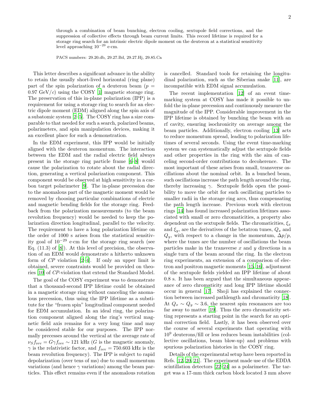through a combination of beam bunching, electron cooling, sextupole field corrections, and the suppression of collective effects through beam current limits. This record lifetime is required for a storage ring search for an intrinsic electric dipole moment on the deuteron at a statistical sensitivity level approaching  $10^{-29}$  e·cm.

PACS numbers: 29.20.db, 29.27.Bd, 29.27.Hj, 29.85.Ca

This letter describes a significant advance in the ability to retain the usually short-lived horizontal (ring plane) part of the spin polarization of a deuteron beam  $(p =$ 0.97 GeV/c) using the COSY [\[1](#page-6-0)] magnetic storage ring. The preservation of this in-plane polarization (IPP) is a requirement for using a storage ring to search for an electric dipole moment (EDM) aligned along the spin axis of a subatomic system [\[2](#page-6-1)[–5\]](#page-6-2). The COSY ring has a size comparable to that needed for such a search, polarized beams, polarimeters, and spin manipulation devices, making it an excellent place for such a demonstration.

In the EDM experiment, this IPP would be initially aligned with the deuteron momentum. The interaction between the EDM and the radial electric field always present in the storage ring particle frame [\[6](#page-6-3)[–8\]](#page-6-4) would cause the polarization to rotate about the radial direction, generating a vertical polarization component. This component would be observed at high sensitivity in a carbon target polarimeter [\[9](#page-6-5)]. The in-plane precession due to the anomalous part of the magnetic moment would be removed by choosing particular combinations of electric and magnetic bending fields for the storage ring. Feedback from the polarization measurements (to the beam revolution frequency) would be needed to keep the polarization direction longitudinal, parallel to the velocity. The requirement to have a long polarization lifetime on the order of 1000 s arises from the statistical sensitivity goal of  $10^{-29}$  e·cm for the storage ring search (see Eq. (11.3) of [\[8\]](#page-6-4)). At this level of precision, the observation of an EDM would demonstrate a hitherto unknown form of CP violation [\[2](#page-6-1)[–4\]](#page-6-6). If only an upper limit is obtained, severe constraints would be provided on theories [\[10](#page-6-7)] of CP-violation that extend the Standard Model.

The goal of the COSY experiment was to demonstrate that a thousand-second IPP lifetime could be obtained in a magnetic storage ring without canceling the anomalous precession, thus using the IPP lifetime as a substitute for the "frozen spin" longitudinal component needed for EDM accumulation. In an ideal ring, the polarization component aligned along the ring's vertical magnetic field axis remains for a very long time and may be considered stable for our purposes. The IPP normally precesses around the vertical at the average rate of  $\nu_S f_{\text{rev}} = G \gamma f_{\text{rev}} \sim 121 \text{ kHz } (G \text{ is the magnetic anomaly},$  $\gamma$  is the relativistic factor, and  $f_{\text{rev}} = 750.603 \text{ kHz}$  is the beam revolution frequency). The IPP is subject to rapid depolarization (over tens of ms) due to small momentum variations (and hence  $\gamma$  variations) among the beam particles. This effect remains even if the anomalous rotation

is cancelled. Standard tools for retaining the longitudinal polarization, such as the Siberian snake [\[11\]](#page-6-8), are incompatible with EDM signal accumulation.

The recent implementation [\[12\]](#page-6-9) of an event timemarking system at COSY has made it possible to unfold the in-plane precession and continuously measure the magnitude of the IPP. Considerable improvement in the IPP lifetime is obtained by bunching the beam with an rf cavity, ensuring isochronicity on average among the beam particles. Additionally, electron cooling [\[13\]](#page-6-10) acts to reduce momentum spread, leading to polarization lifetimes of several seconds. Using the event time-marking system we can systematically adjust the sextupole fields and other properties in the ring with the aim of canceling second-order contributions to decoherence. The most important of these arises from small, transverse oscillations about the nominal orbit. In a bunched beam, such oscillations increase the path length around the ring, thereby increasing  $\gamma$ . Sextupole fields open the possibility to move the orbit for such oscillating particles to smaller radii in the storage ring arcs, thus compensating the path length increase. Previous work with electron rings [\[14\]](#page-6-11) has found increased polarization lifetimes associated with small or zero chromaticities, a property also dependent on the sextupole fields. The chromaticities,  $\xi_x$ and  $\xi_y$ , are the derivatives of the betatron tunes,  $Q_x$  and  $Q_y$ , with respect to a change in the momentum,  $\Delta p/p$ , where the tunes are the number of oscillations the beam particles make in the transverse  $x$  and  $y$  directions in a single turn of the beam around the ring. In the electron ring experiments, an extension of a comparison of electron and positron magnetic moments [\[15](#page-6-12), [16](#page-6-13)], adjustment of the sextupole fields yielded an IPP lifetime of about 0.8 s. It has been argued that the simultaneous appearance of zero chromaticity and long IPP lifetime should occur in general [\[17](#page-6-14)]. Shoji has explained the connection between increased pathlength and chromaticity [\[18\]](#page-6-15). At  $Q_x \sim Q_y \sim 3.6$ , the nearest spin resonances are too far away to matter [\[19\]](#page-6-16). Thus the zero chromaticity setting represents a starting point in the search for an optimal correction field. Lastly, it has been observed over the course of several experiments that operating with 10<sup>9</sup> deuterons/fill or less reduces beam instabilities (collective oscillations, beam blow-up) and problems with spurious polarization histories in the COSY ring.

Details of the experimental setup have been reported in Refs. [\[12,](#page-6-9) [20,](#page-6-17) [21\]](#page-6-18). The experiment made use of the EDDA scintillation detectors [\[22–](#page-6-19)[24\]](#page-6-20) as a polarimeter. The target was a 17-mm thick carbon block located 3 mm above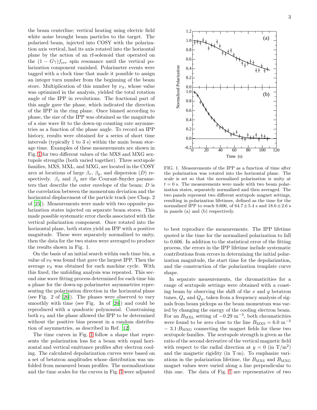the beam centerline; vertical heating using electric field white noise brought beam particles to the target. The polarized beam, injected into COSY with the polarization axis vertical, had its axis rotated into the horizontal plane by the action of an rf-solenoid that operated on the  $(1 - G\gamma) f_{\text{rev}}$  spin resonance until the vertical polarization component vanished. Polarimeter events were tagged with a clock time that made it possible to assign an integer turn number from the beginning of the beam store. Multiplication of this number by  $\nu_s$ , whose value was optimized in the analysis, yielded the total rotation angle of the IPP in revolutions. The fractional part of this angle gave the phase, which indicated the direction of the IPP in the ring plane. Once binned according to phase, the size of the IPP was obtained as the magnitude of a sine wave fit to the down-up counting rate asymmetries as a function of the phase angle. To record an IPP history, results were obtained for a series of short time intervals (typically 1 to 3 s) within the main beam storage time. Examples of these measurements are shown in Fig. [1](#page-3-0) for two different values of the MXS and MXG sextupole strengths (both varied together). Three sextupole families, MXS, MXL, and MXG, are located in the COSY arcs at locations of large  $\beta_x$ ,  $\beta_y$ , and dispersion  $(D)$  respectively.  $\beta_x$  and  $\beta_y$  are the Courant-Snyder parameters that describe the outer envelope of the beam;  $D$  is the correlation between the momentum deviation and the horizontal displacement of the particle track (see Chap. 2 of [\[25\]](#page-6-21)). Measurements were made with two opposite polarization states injected on separate beam stores. This made possible systematic error checks associated with the vertical polarization component. Once rotated into the horizontal plane, both states yield an IPP with a positive magnitude. These were separately normalized to unity, then the data for the two states were averaged to produce the results shown in Fig. 1.

On the basis of an initial search within each time bin, a value of  $\nu_S$  was found that gave the largest IPP. Then the average  $\nu_s$  was obtained for each machine cycle. With this fixed, the unfolding analysis was repeated. This second sine wave fitting process determined for each time bin a phase for the down-up polarimeter asymmetries representing the polarization direction in the horizontal plane (see Fig. 2 of [\[26](#page-6-22)]). The phases were observed to vary smoothly with time (see Fig. 3a of [\[26](#page-6-22)]) and could be reproduced with a quadratic polynomial. Constraining both  $\nu_S$  and the phase allowed the IPP to be determined without the positive bias present in a random distribution of asymmetries, as described in Ref. [\[12\]](#page-6-9).

The time curves in Fig. [1](#page-3-0) follow a shape that represents the polarization loss for a beam with equal horizontal and vertical emittance profiles after electron cooling. The calculated depolarization curves were based on a set of betatron amplitudes whose distribution was unfolded from measured beam profiles. The normalizations and the time scales for the curves in Fig. [1](#page-3-0) were adjusted



<span id="page-3-0"></span>FIG. 1. Measurements of the IPP as a function of time after the polarization was rotated into the horizontal plane. The scale is set so that the normalized polarization is unity at  $t = 0$  s. The measurements were made with two beam polarization states, separately normalized and then averaged. The two panels represent two different sextupole magnet settings, resulting in polarization lifetimes, defined as the time for the normalized IPP to reach 0.606, of  $64.7 \pm 5.4$  s and  $18.6 \pm 2.6$  s in panels (a) and (b) respectively.

to best reproduce the measurements. The IPP lifetime quoted is the time for the normalized polarization to fall to 0.606. In addition to the statistical error of the fitting process, the errors in the IPP lifetime include systematic contributions from errors in determining the initial polarization magnitude, the start time for the depolarization, and the construction of the polarization template curve shape.

In separate measurements, the chromaticities for a range of sextupole settings were obtained with a coasting beam by observing the shift of the  $x$  and  $y$  betatron tunes,  $Q_x$  and  $Q_y$ , taken from a frequency analysis of signals from beam pickups as the beam momentum was varied by changing the energy of the cooling electron beam. For an  $B_{\text{MXL}}$  setting of  $-0.29 \text{ m}^{-3}$ , both chromaticities were found to be zero close to the line  $B_{\text{MXS}} = 6.0 \text{ m}^{-3}$  $-3.1 \cdot B_{\text{MXG}}$  connecting the magnet fields for these two sextupole families. The sextupole strength is given as the ratio of the second derivative of the vertical magnetic field with respect to the radial direction at  $y = 0$  (in T/m<sup>2</sup>) and the magnetic rigidity (in T·m). To emphasize variations in the polarization lifetime, the  $B_{\text{MXS}}$  and  $B_{\text{MXG}}$ magnet values were varied along a line perpendicular to this one. The data of Fig. [1](#page-3-0) are representative of two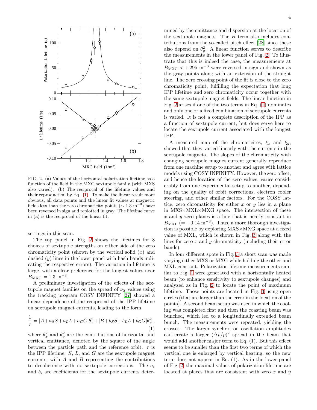

<span id="page-4-1"></span>FIG. 2. (a) Values of the horizontal polarization lifetime as a function of the field in the MXG sextupole family (with MXS also varied). (b) The reciprocal of the lifetime values and their reproduction by Eq. [\(1\)](#page-4-0). To make the linear result more obvious, all data points and the linear fit values at magnetic fields less than the zero chromaticity points  $({\sim 1.3 \text{ m}^{-3}})$  have been reversed in sign and replotted in gray. The lifetime curve in (a) is the reciprocal of the linear fit.

settings in this scan.

1

The top panel in Fig. [2](#page-4-1) shows the lifetimes for 8 choices of sextupole strengths on either side of the zero chromaticity point (shown by the vertical solid  $(x)$ ) and dashed  $(y)$  lines in the lower panel with hash bands indicating the respective errors). The variation in lifetime is large, with a clear preference for the longest values near  $B_{\text{MXG}} = 1.3 \text{ m}^{-3}.$ 

A preliminary investigation of the effects of the sextupole magnet families on the spread of  $\nu_s$  values using the tracking program COSY INFINITY [\[27\]](#page-6-23) showed a linear dependence of the reciprocal of the IPP lifetime on sextupole magnet currents, leading to the form

<span id="page-4-0"></span>
$$
\frac{1}{\tau} = |A + a_S S + a_L L + a_G G | \theta_x^2 + |B + b_S S + b_L L + b_G G | \theta_y^2,
$$
\n(1)

where  $\theta_x^2$  and  $\theta_y^2$  are the contributions of horizontal and vertical emittance, denoted by the square of the angle between the particle path and the reference orbit.  $\tau$  is the IPP lifetime.  $S, L$ , and  $G$  are the sextupole magnet currents, with  $A$  and  $B$  representing the contributions to decoherence with no sextupole corrections. The  $a_i$ and  $b_i$  are coefficients for the sextupole currents deter-

mined by the emittance and dispersion at the location of the sextupole magnets. The  $B$  term also includes contributions from the so-called pitch effect [\[28](#page-6-24)] since these also depend on  $\theta_y^2$ . A linear function serves to describe the measurements in the lower panel of Fig. [2.](#page-4-1) To illustrate that this is indeed the case, the measurements at  $B_{\text{MXG}} < 1.295 \text{ m}^{-3}$  were reversed in sign and shown as the gray points along with an extension of the straight line. The zero crossing point of the fit is close to the zero chromaticity point, fulfilling the expectation that long IPP lifetime and zero chromaticity occur together with the same sextupole magnet fields. The linear function in Fig. [2](#page-4-1) arises if one of the two terms in Eq. [\(1\)](#page-4-0) dominates and only one or a fixed combination of sextupole currents is varied. It is not a complete description of the IPP as a function of sextupole current, but does serve here to locate the sextupole current associated with the longest IPP.

A measured map of the chromaticites,  $\xi_x$  and  $\xi_y$ , showed that they varied linearly with the currents in the sextupole magnets. The slopes of the chromaticity with changing sextupole magnet current generally reproduce from one machine setup to another and agree with lattice models using COSY INFINITY. However, the zero offset, and hence the location of the zero values, varies considerably from one experimental setup to another, depending on the quality of orbit corrections, electron cooler steering, and other similar factors. For the COSY lattice, zero chromaticity for either  $x$  or  $y$  lies in a plane in MXS×MXL×MXG space. The intersection of these  $x$  and  $y$  zero planes is a line that is nearly constant in  $B_{\text{MXL}}$  (= -0.14 m<sup>-3</sup>). Thus, a more thorough investigation is possible by exploring MXS×MXG space at a fixed value of MXL, which is shown in Fig. [3](#page-5-0) along with the lines for zero  $x$  and  $y$  chromaticity (including their error bands).

In four different spots in Fig. [3](#page-5-0) a short scan was made varying either MXS or MXG while holding the other and MXL constant. Polarization lifetime measurements similar to Fig. [1](#page-3-0) were generated with a horizontally heated beam (to enhance sensitivity to sextupole changes) and analyzed as in Fig. [2](#page-4-1) to locate the point of maximum lifetime. Those points are located in Fig. [3](#page-5-0) using open circles (that are larger than the error in the location of the points). A second beam setup was used in which the cooling was completed first and then the coasting beam was bunched, which led to a longitudinally extended beam bunch. The measurements were repeated, yielding the crosses. The larger synchrotron oscillation amplitudes can create a larger  $(\Delta p/p)^2$  spread in the beam that would add another major term to Eq. (1). But this effect seems to be smaller than the first two terms of which the vertical one is enlarged by vertical heating, so the new term does not appear in Eq. (1). As in the lower panel of Fig. [2,](#page-4-1) the maximal values of polarization lifetime are located at places that are consistent with zero  $x$  and  $y$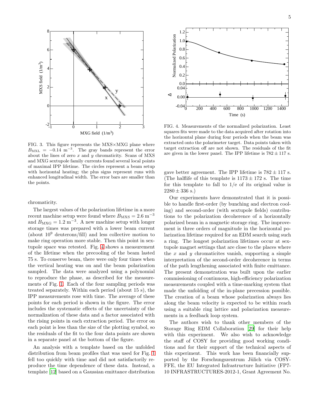

<span id="page-5-0"></span>FIG. 3. This figure represents the  $MXS\times MXG$  plane where  $B_{\text{MXL}} = -0.14 \text{ m}^{-3}$ . The gray bands represent the error about the lines of zero  $x$  and  $y$  chromaticity. Scans of MXS and MXG sextupole family currents found several local points of maximal IPP lifetime. The circles represent a beam setup with horizontal heating; the plus signs represent runs with enhanced longitudinal width. The error bars are smaller than the points.

chromaticity.

The largest values of the polarization lifetime in a more recent machine setup were found where  $B_{\text{MXS}} = 2.6 \text{ m}^{-3}$ and  $B_{\text{MXG}} = 1.2 \text{ m}^{-3}$ . A new machine setup with longer storage times was prepared with a lower beam current (about  $10^9$  deuterons/fill) and less collective motion to make ring operation more stable. Then this point in sextupole space was retested. Fig. [4](#page-5-1) shows a measurement of the lifetime when the precooling of the beam lasted 75 s. To conserve beam, there were only four times when the vertical heating was on and the beam polarization sampled. The data were analyzed using a polynomial to reproduce the phase, as described for the measurements of Fig. [1.](#page-3-0) Each of the four sampling periods was treated separately. Within each period (about 15 s), the IPP measurements rose with time. The average of these points for each period is shown in the figure. The error includes the systematic effects of the uncertainty of the normalization of these data and a factor associated with the rising points in each extraction period. The error on each point is less than the size of the plotting symbol, so the residuals of the fit to the four data points are shown in a separate panel at the bottom of the figure.

An analysis with a template based on the unfolded distribution from beam profiles that was used for Fig. [1](#page-3-0) fell too quickly with time and did not satisfactorily reproduce the time dependence of these data. Instead, a template [\[12\]](#page-6-9) based on a Gaussian emittance distribution



<span id="page-5-1"></span>FIG. 4. Measurements of the normalized polarization. Least squares fits were made to the data acquired after rotation into the horizontal plane during four periods when the beam was extracted onto the polarimeter target. Data points taken with target extraction off are not shown. The residuals of the fit are given in the lower panel. The IPP lifetime is  $782 \pm 117$  s.

gave better agreement. The IPP lifetime is  $782 \pm 117$  s. (The halflife of this template is  $1173 \pm 172$  s. The time for this template to fall to  $1/e$  of its original value is  $2280 \pm 336$  s.)

Our experiments have demonstrated that it is possible to handle first-order (by bunching and electron cooling) and second-order (with sextupole fields) contributions to the polarization decoherence of a horizontally polarized beam in a magnetic storage ring. The improvement is three orders of magnitude in the horizontal polarization lifetime required for an EDM search using such a ring. The longest polarization lifetimes occur at sextupole magnet settings that are close to the places where the  $x$  and  $y$  chromaticites vanish, supporting a simple interpretation of the second-order decoherence in terms of the path lengthening associated with finite emittance. The present demonstration was built upon the earlier commissioning of continuous, high-efficiency polarization measurements coupled with a time-marking system that made the unfolding of the in-plane precession possible. The creation of a beam whose polarization always lies along the beam velocity is expected to be within reach using a suitable ring lattice and polarization measurements in a feedback loop system.

The authors wish to thank other members of the Storage Ring EDM Collaboration [\[29\]](#page-6-25) for their help with this experiment. We also wish to acknowledge the staff of COSY for providing good working conditions and for their support of the technical aspects of this experiment. This work has been financially supported by the Forschungszentrum Jülich via COSY-FFE, the EU Integrated Infrastructure Initiative (FP7- 10 INFRASTRUCTURES-2012-1, Grant Agreement No.